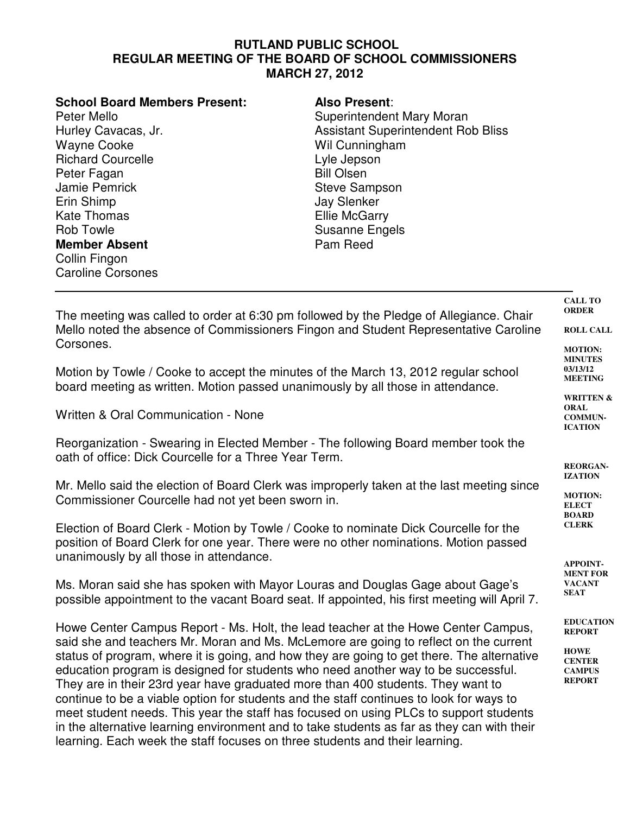## **RUTLAND PUBLIC SCHOOL REGULAR MEETING OF THE BOARD OF SCHOOL COMMISSIONERS MARCH 27, 2012**

| <b>School Board Members Present:</b> | <b>Also Present:</b>                      |
|--------------------------------------|-------------------------------------------|
| Peter Mello                          | Superintendent Mary Moran                 |
| Hurley Cavacas, Jr.                  | <b>Assistant Superintendent Rob Bliss</b> |
| <b>Wayne Cooke</b>                   | Wil Cunningham                            |
| <b>Richard Courcelle</b>             | Lyle Jepson                               |
| Peter Fagan                          | <b>Bill Olsen</b>                         |
| Jamie Pemrick                        | <b>Steve Sampson</b>                      |
| Erin Shimp                           | <b>Jay Slenker</b>                        |
| <b>Kate Thomas</b>                   | <b>Ellie McGarry</b>                      |
| Rob Towle                            | <b>Susanne Engels</b>                     |
| <b>Member Absent</b>                 | Pam Reed                                  |
| Collin Fingon                        |                                           |
| <b>Caroline Corsones</b>             |                                           |

**ORDER ROLL CALL MOTION:** The meeting was called to order at 6:30 pm followed by the Pledge of Allegiance. Chair Mello noted the absence of Commissioners Fingon and Student Representative Caroline Corsones.

Motion by Towle / Cooke to accept the minutes of the March 13, 2012 regular school board meeting as written. Motion passed unanimously by all those in attendance.

Written & Oral Communication - None

Reorganization - Swearing in Elected Member - The following Board member took the oath of office: Dick Courcelle for a Three Year Term.

Mr. Mello said the election of Board Clerk was improperly taken at the last meeting since Commissioner Courcelle had not yet been sworn in.

Election of Board Clerk - Motion by Towle / Cooke to nominate Dick Courcelle for the position of Board Clerk for one year. There were no other nominations. Motion passed unanimously by all those in attendance.

Ms. Moran said she has spoken with Mayor Louras and Douglas Gage about Gage's possible appointment to the vacant Board seat. If appointed, his first meeting will April 7.

Howe Center Campus Report - Ms. Holt, the lead teacher at the Howe Center Campus, said she and teachers Mr. Moran and Ms. McLemore are going to reflect on the current status of program, where it is going, and how they are going to get there. The alternative education program is designed for students who need another way to be successful. They are in their 23rd year have graduated more than 400 students. They want to continue to be a viable option for students and the staff continues to look for ways to meet student needs. This year the staff has focused on using PLCs to support students in the alternative learning environment and to take students as far as they can with their learning. Each week the staff focuses on three students and their learning.

**03/13/12 MEETING WRITTEN & ORAL**

**COMMUN-ICATION**

**MINUTES**

**CALL TO**

**REORGAN-IZATION**

**MOTION: ELECT BOARD CLERK**

**APPOINT-MENT FOR VACANT SEAT**

**EDUCATION REPORT**

**HOWE CENTER CAMPUS REPORT**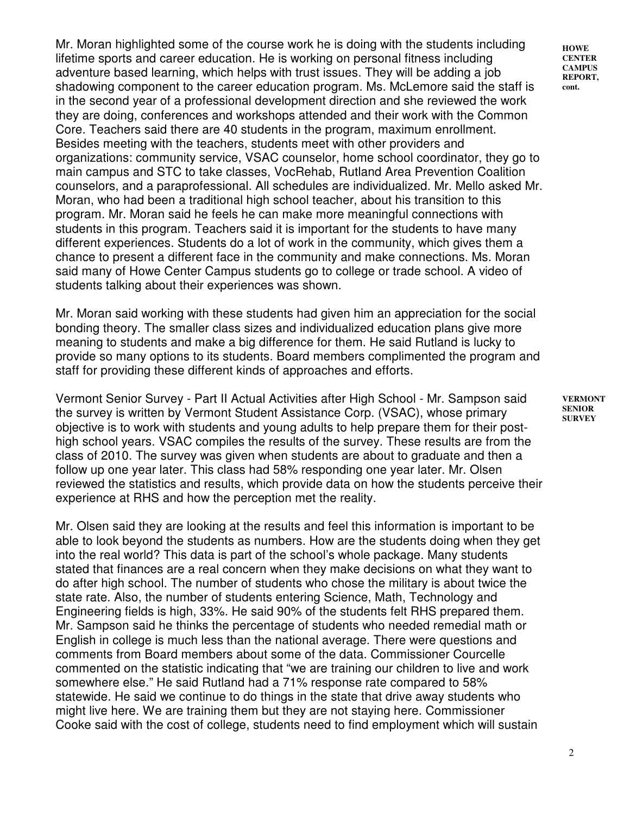Mr. Moran highlighted some of the course work he is doing with the students including lifetime sports and career education. He is working on personal fitness including adventure based learning, which helps with trust issues. They will be adding a job shadowing component to the career education program. Ms. McLemore said the staff is in the second year of a professional development direction and she reviewed the work they are doing, conferences and workshops attended and their work with the Common Core. Teachers said there are 40 students in the program, maximum enrollment. Besides meeting with the teachers, students meet with other providers and organizations: community service, VSAC counselor, home school coordinator, they go to main campus and STC to take classes, VocRehab, Rutland Area Prevention Coalition counselors, and a paraprofessional. All schedules are individualized. Mr. Mello asked Mr. Moran, who had been a traditional high school teacher, about his transition to this program. Mr. Moran said he feels he can make more meaningful connections with students in this program. Teachers said it is important for the students to have many different experiences. Students do a lot of work in the community, which gives them a chance to present a different face in the community and make connections. Ms. Moran said many of Howe Center Campus students go to college or trade school. A video of students talking about their experiences was shown.

Mr. Moran said working with these students had given him an appreciation for the social bonding theory. The smaller class sizes and individualized education plans give more meaning to students and make a big difference for them. He said Rutland is lucky to provide so many options to its students. Board members complimented the program and staff for providing these different kinds of approaches and efforts.

Vermont Senior Survey - Part II Actual Activities after High School - Mr. Sampson said the survey is written by Vermont Student Assistance Corp. (VSAC), whose primary objective is to work with students and young adults to help prepare them for their posthigh school years. VSAC compiles the results of the survey. These results are from the class of 2010. The survey was given when students are about to graduate and then a follow up one year later. This class had 58% responding one year later. Mr. Olsen reviewed the statistics and results, which provide data on how the students perceive their experience at RHS and how the perception met the reality.

Mr. Olsen said they are looking at the results and feel this information is important to be able to look beyond the students as numbers. How are the students doing when they get into the real world? This data is part of the school's whole package. Many students stated that finances are a real concern when they make decisions on what they want to do after high school. The number of students who chose the military is about twice the state rate. Also, the number of students entering Science, Math, Technology and Engineering fields is high, 33%. He said 90% of the students felt RHS prepared them. Mr. Sampson said he thinks the percentage of students who needed remedial math or English in college is much less than the national average. There were questions and comments from Board members about some of the data. Commissioner Courcelle commented on the statistic indicating that "we are training our children to live and work somewhere else." He said Rutland had a 71% response rate compared to 58% statewide. He said we continue to do things in the state that drive away students who might live here. We are training them but they are not staying here. Commissioner Cooke said with the cost of college, students need to find employment which will sustain

**HOWE CENTER CAMPUS REPORT, cont.** 

**VERMONT SENIOR SURVEY**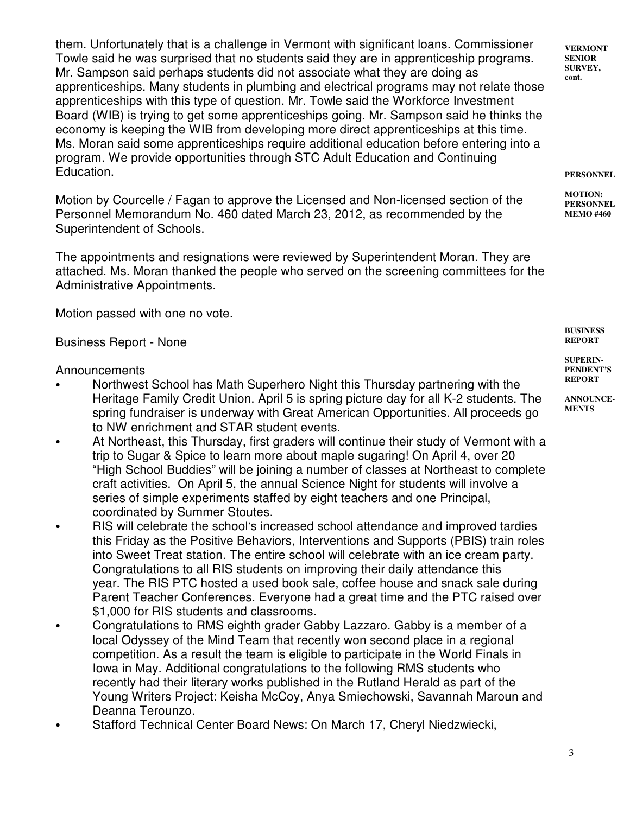them. Unfortunately that is a challenge in Vermont with significant loans. Commissioner Towle said he was surprised that no students said they are in apprenticeship programs. Mr. Sampson said perhaps students did not associate what they are doing as apprenticeships. Many students in plumbing and electrical programs may not relate those apprenticeships with this type of question. Mr. Towle said the Workforce Investment Board (WIB) is trying to get some apprenticeships going. Mr. Sampson said he thinks the economy is keeping the WIB from developing more direct apprenticeships at this time. Ms. Moran said some apprenticeships require additional education before entering into a program. We provide opportunities through STC Adult Education and Continuing Education.

Motion by Courcelle / Fagan to approve the Licensed and Non-licensed section of the Personnel Memorandum No. 460 dated March 23, 2012, as recommended by the Superintendent of Schools.

The appointments and resignations were reviewed by Superintendent Moran. They are attached. Ms. Moran thanked the people who served on the screening committees for the Administrative Appointments.

Motion passed with one no vote.

## Business Report - None

## Announcements

- Northwest School has Math Superhero Night this Thursday partnering with the Heritage Family Credit Union. April 5 is spring picture day for all K-2 students. The spring fundraiser is underway with Great American Opportunities. All proceeds go to NW enrichment and STAR student events.
- At Northeast, this Thursday, first graders will continue their study of Vermont with a trip to Sugar & Spice to learn more about maple sugaring! On April 4, over 20 "High School Buddies" will be joining a number of classes at Northeast to complete craft activities. On April 5, the annual Science Night for students will involve a series of simple experiments staffed by eight teachers and one Principal, coordinated by Summer Stoutes.
- RIS will celebrate the school's increased school attendance and improved tardies this Friday as the Positive Behaviors, Interventions and Supports (PBIS) train roles into Sweet Treat station. The entire school will celebrate with an ice cream party. Congratulations to all RIS students on improving their daily attendance this year. The RIS PTC hosted a used book sale, coffee house and snack sale during Parent Teacher Conferences. Everyone had a great time and the PTC raised over \$1,000 for RIS students and classrooms.
- Congratulations to RMS eighth grader Gabby Lazzaro. Gabby is a member of a local Odyssey of the Mind Team that recently won second place in a regional competition. As a result the team is eligible to participate in the World Finals in Iowa in May. Additional congratulations to the following RMS students who recently had their literary works published in the Rutland Herald as part of the Young Writers Project: Keisha McCoy, Anya Smiechowski, Savannah Maroun and Deanna Terounzo.
- Stafford Technical Center Board News: On March 17, Cheryl Niedzwiecki,

**VERMONT SENIOR SURVEY, cont.** 

**PERSONNEL** 

**MOTION: PERSONNEL MEMO #460**

**BUSINESS REPORT**

**SUPERIN-PENDENT'S REPORT**

**ANNOUNCE-MENTS**